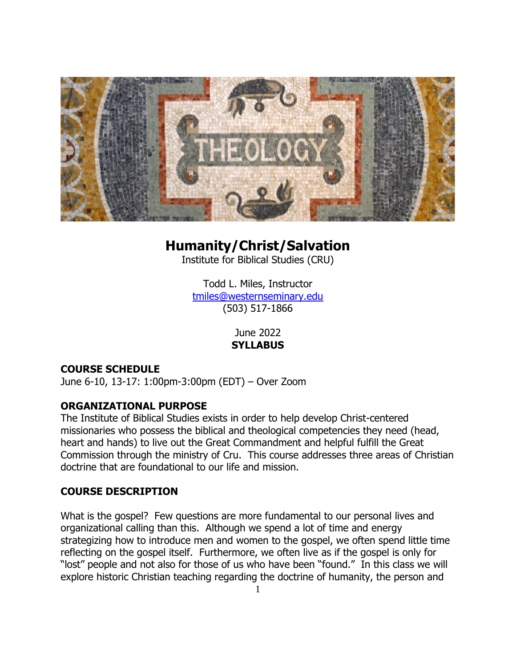

# **Humanity/Christ/Salvation**

Institute for Biblical Studies (CRU)

Todd L. Miles, Instructor tmiles@westernseminary.edu (503) 517-1866

> June 2022 **SYLLABUS**

## **COURSE SCHEDULE**

June 6-10, 13-17: 1:00pm-3:00pm (EDT) – Over Zoom

#### **ORGANIZATIONAL PURPOSE**

The Institute of Biblical Studies exists in order to help develop Christ-centered missionaries who possess the biblical and theological competencies they need (head, heart and hands) to live out the Great Commandment and helpful fulfill the Great Commission through the ministry of Cru. This course addresses three areas of Christian doctrine that are foundational to our life and mission.

## **COURSE DESCRIPTION**

What is the gospel? Few questions are more fundamental to our personal lives and organizational calling than this. Although we spend a lot of time and energy strategizing how to introduce men and women to the gospel, we often spend little time reflecting on the gospel itself. Furthermore, we often live as if the gospel is only for "lost" people and not also for those of us who have been "found." In this class we will explore historic Christian teaching regarding the doctrine of humanity, the person and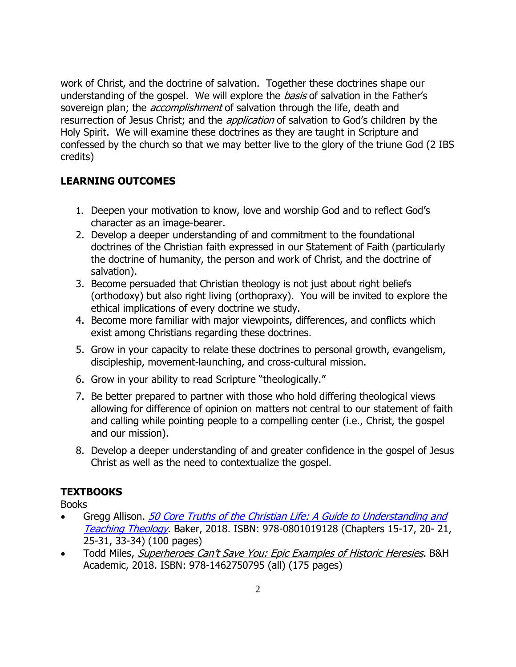work of Christ, and the doctrine of salvation. Together these doctrines shape our understanding of the gospel. We will explore the *basis* of salvation in the Father's sovereign plan; the *accomplishment* of salvation through the life, death and resurrection of Jesus Christ; and the *application* of salvation to God's children by the Holy Spirit. We will examine these doctrines as they are taught in Scripture and confessed by the church so that we may better live to the glory of the triune God (2 IBS credits)

## **LEARNING OUTCOMES**

- 1. Deepen your motivation to know, love and worship God and to reflect God's character as an image-bearer.
- 2. Develop a deeper understanding of and commitment to the foundational doctrines of the Christian faith expressed in our Statement of Faith (particularly the doctrine of humanity, the person and work of Christ, and the doctrine of salvation).
- 3. Become persuaded that Christian theology is not just about right beliefs (orthodoxy) but also right living (orthopraxy). You will be invited to explore the ethical implications of every doctrine we study.
- 4. Become more familiar with major viewpoints, differences, and conflicts which exist among Christians regarding these doctrines.
- 5. Grow in your capacity to relate these doctrines to personal growth, evangelism, discipleship, movement-launching, and cross-cultural mission.
- 6. Grow in your ability to read Scripture "theologically."
- 7. Be better prepared to partner with those who hold differing theological views allowing for difference of opinion on matters not central to our statement of faith and calling while pointing people to a compelling center (i.e., Christ, the gospel and our mission).
- 8. Develop a deeper understanding of and greater confidence in the gospel of Jesus Christ as well as the need to contextualize the gospel.

#### **TEXTBOOKS**

Books

- Gregg Allison. 50 Core Truths of the Christian Life: A Guide to Understanding and [Teaching Theology](https://smile.amazon.com/Core-Truths-Christian-Faith-Understanding/dp/0801019125/ref=sr_1_1?ie=UTF8&qid=1539795645&sr=8-1&keywords=50+core+truths+of+the+christian+faith+by+gregg+allison). Baker, 2018. ISBN: 978-0801019128 (Chapters 15-17, 20- 21, 25-31, 33-34) (100 pages)
- Todd Miles, [Superheroes Can't Save You: Epic Examples of Historic](https://smile.amazon.com/Superheroes-Cant-Save-You-Examples/dp/1462750796/ref=smi_www_rco2_go_smi_1405964225?_encoding=UTF8&ie=UTF8&keywords=Todd%20Miles&qid=1523556788&sr=8-1) Heresies. B&H Academic, 2018. ISBN: 978-1462750795 (all) (175 pages)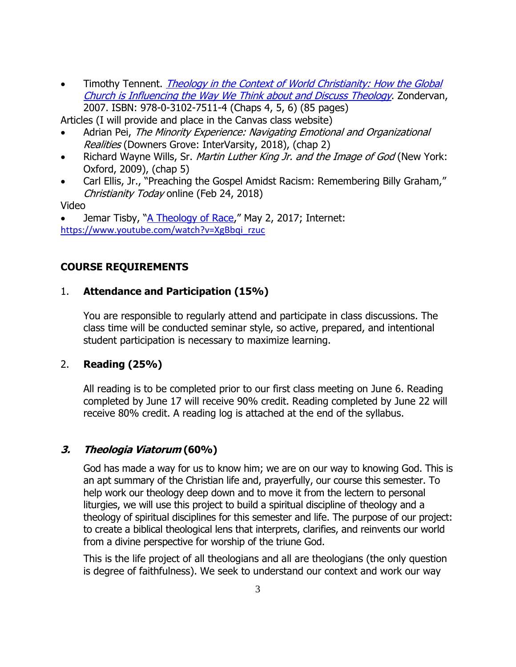Timothy Tennent. *Theology in the Context of World Christianity: How the Global* [Church is Influencing the Way We Think about and Discuss Theology](https://smile.amazon.com/Theology-Context-World-Christianity-Influencing/dp/0310275113/ref=sr_1_1?ie=UTF8&qid=1539795998&sr=8-1&keywords=timothy+tennent%2C+theology+in+the+context+of+world+christianity). Zondervan, 2007. ISBN: 978-0-3102-7511-4 (Chaps 4, 5, 6) (85 pages)

Articles (I will provide and place in the Canvas class website)

- Adrian Pei, The Minority Experience: Navigating Emotional and Organizational Realities (Downers Grove: InterVarsity, 2018), (chap 2)
- Richard Wayne Wills, Sr. *Martin Luther King Jr. and the Image of God* (New York: Oxford, 2009), (chap 5)
- Carl Ellis, Jr., "Preaching the Gospel Amidst Racism: Remembering Billy Graham," Christianity Today online (Feb 24, 2018)

Video

Jemar Tisby, "[A Theology of Race](https://www.youtube.com/watch?v=XgBbqi_rzuc)," May 2, 2017; Internet: [https://www.youtube.com/watch?v=XgBbqi\\_rzuc](https://www.youtube.com/watch?v=XgBbqi_rzuc)

## **COURSE REQUIREMENTS**

#### 1. **Attendance and Participation (15%)**

You are responsible to regularly attend and participate in class discussions. The class time will be conducted seminar style, so active, prepared, and intentional student participation is necessary to maximize learning.

#### 2. **Reading (25%)**

All reading is to be completed prior to our first class meeting on June 6. Reading completed by June 17 will receive 90% credit. Reading completed by June 22 will receive 80% credit. A reading log is attached at the end of the syllabus.

#### **3. Theologia Viatorum (60%)**

God has made a way for us to know him; we are on our way to knowing God. This is an apt summary of the Christian life and, prayerfully, our course this semester. To help work our theology deep down and to move it from the lectern to personal liturgies, we will use this project to build a spiritual discipline of theology and a theology of spiritual disciplines for this semester and life. The purpose of our project: to create a biblical theological lens that interprets, clarifies, and reinvents our world from a divine perspective for worship of the triune God.

This is the life project of all theologians and all are theologians (the only question is degree of faithfulness). We seek to understand our context and work our way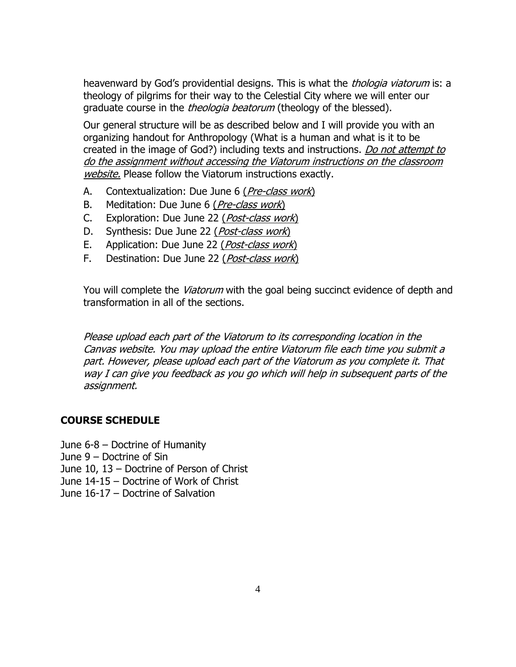heavenward by God's providential designs. This is what the *thologia viatorum* is: a theology of pilgrims for their way to the Celestial City where we will enter our graduate course in the *theologia beatorum* (theology of the blessed).

Our general structure will be as described below and I will provide you with an organizing handout for Anthropology (What is a human and what is it to be created in the image of God?) including texts and instructions. Do not attempt to do the assignment without accessing the Viatorum instructions on the classroom website. Please follow the Viatorum instructions exactly.

- A. Contextualization: Due June 6 (*Pre-class work*)
- B. Meditation: Due June 6 (*Pre-class work*)
- C. Exploration: Due June 22 (*Post-class work*)
- D. Synthesis: Due June 22 (*Post-class work*)
- E. Application: Due June 22 (Post-class work)
- F. Destination: Due June 22 (Post-class work)

You will complete the *Viatorum* with the goal being succinct evidence of depth and transformation in all of the sections.

Please upload each part of the Viatorum to its corresponding location in the Canvas website. You may upload the entire Viatorum file each time you submit a part. However, please upload each part of the Viatorum as you complete it. That way I can give you feedback as you go which will help in subsequent parts of the assignment.

#### **COURSE SCHEDULE**

June 6-8 – Doctrine of Humanity

June 9 – Doctrine of Sin

June 10, 13 – Doctrine of Person of Christ

June 14-15 – Doctrine of Work of Christ

June 16-17 – Doctrine of Salvation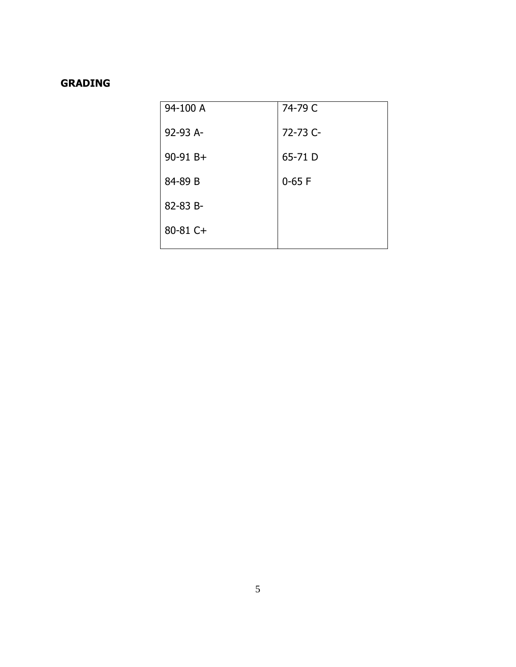# **GRADING**

| 94-100 A     | 74-79 C  |
|--------------|----------|
| 92-93 A-     | 72-73 C- |
| $90-91 B+$   | 65-71 D  |
| 84-89 B      | $0-65$ F |
| 82-83 B-     |          |
| $80 - 81$ C+ |          |
|              |          |